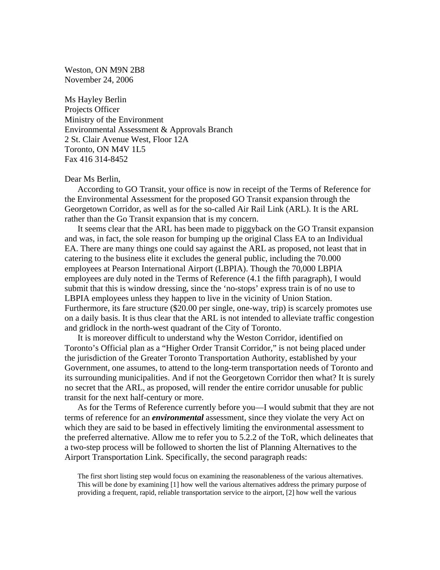Weston, ON M9N 2B8 November 24, 2006

Ms Hayley Berlin Projects Officer Ministry of the Environment Environmental Assessment & Approvals Branch 2 St. Clair Avenue West, Floor 12A Toronto, ON M4V 1L5 Fax 416 314-8452

## Dear Ms Berlin,

 According to GO Transit, your office is now in receipt of the Terms of Reference for the Environmental Assessment for the proposed GO Transit expansion through the Georgetown Corridor, as well as for the so-called Air Rail Link (ARL). It is the ARL rather than the Go Transit expansion that is my concern.

 It seems clear that the ARL has been made to piggyback on the GO Transit expansion and was, in fact, the sole reason for bumping up the original Class EA to an Individual EA. There are many things one could say against the ARL as proposed, not least that in catering to the business elite it excludes the general public, including the 70.000 employees at Pearson International Airport (LBPIA). Though the 70,000 LBPIA employees are duly noted in the Terms of Reference (4.1 the fifth paragraph), I would submit that this is window dressing, since the 'no-stops' express train is of no use to LBPIA employees unless they happen to live in the vicinity of Union Station. Furthermore, its fare structure (\$20.00 per single, one-way, trip) is scarcely promotes use on a daily basis. It is thus clear that the ARL is not intended to alleviate traffic congestion and gridlock in the north-west quadrant of the City of Toronto.

 It is moreover difficult to understand why the Weston Corridor, identified on Toronto's Official plan as a "Higher Order Transit Corridor," is not being placed under the jurisdiction of the Greater Toronto Transportation Authority, established by your Government, one assumes, to attend to the long-term transportation needs of Toronto and its surrounding municipalities. And if not the Georgetown Corridor then what? It is surely no secret that the ARL, as proposed, will render the entire corridor unusable for public transit for the next half-century or more.

 As for the Terms of Reference currently before you—I would submit that they are not terms of reference for an *environmental* assessment, since they violate the very Act on which they are said to be based in effectively limiting the environmental assessment to the preferred alternative. Allow me to refer you to 5.2.2 of the ToR, which delineates that a two-step process will be followed to shorten the list of Planning Alternatives to the Airport Transportation Link. Specifically, the second paragraph reads:

The first short listing step would focus on examining the reasonableness of the various alternatives. This will be done by examining [1] how well the various alternatives address the primary purpose of providing a frequent, rapid, reliable transportation service to the airport, [2] how well the various